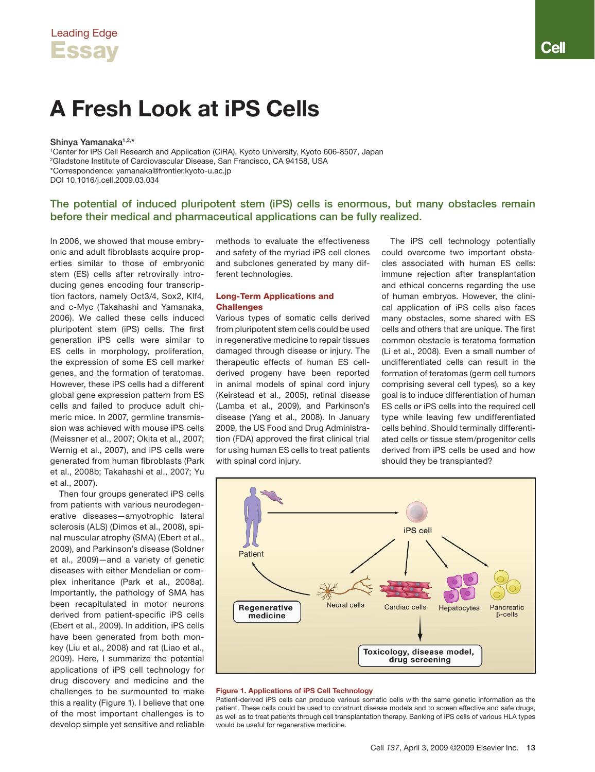# A Fresh Look at iPS Cells

Shinya Yamanaka1,2,\*

1 Center for iPS Cell Research and Application (CiRA), Kyoto University, Kyoto 606-8507, Japan 2 Gladstone Institute of Cardiovascular Disease, San Francisco, CA 94158, USA \*Correspondence: yamanaka@frontier.kyoto-u.ac.jp DOI 10.1016/j.cell.2009.03.034

# The potential of induced pluripotent stem (iPS) cells is enormous, but many obstacles remain before their medical and pharmaceutical applications can be fully realized.

In 2006, we showed that mouse embryonic and adult fibroblasts acquire properties similar to those of embryonic stem (ES) cells after retrovirally introducing genes encoding four transcription factors, namely Oct3/4, Sox2, Klf4, and c-Myc (Takahashi and Yamanaka, 2006). We called these cells induced pluripotent stem (iPS) cells. The first generation iPS cells were similar to ES cells in morphology, proliferation, the expression of some ES cell marker genes, and the formation of teratomas. However, these iPS cells had a different global gene expression pattern from ES cells and failed to produce adult chimeric mice. In 2007, germline transmission was achieved with mouse iPS cells (Meissner et al., 2007; Okita et al., 2007; Wernig et al., 2007), and iPS cells were generated from human fibroblasts (Park et al., 2008b; Takahashi et al., 2007; Yu et al., 2007).

Then four groups generated iPS cells from patients with various neurodegenerative diseases—amyotrophic lateral sclerosis (ALS) (Dimos et al., 2008), spinal muscular atrophy (SMA) (Ebert et al., 2009), and Parkinson's disease (Soldner et al., 2009)—and a variety of genetic diseases with either Mendelian or complex inheritance (Park et al., 2008a). Importantly, the pathology of SMA has been recapitulated in motor neurons derived from patient-specific iPS cells (Ebert et al., 2009). In addition, iPS cells have been generated from both monkey (Liu et al., 2008) and rat (Liao et al., 2009). Here, I summarize the potential applications of iPS cell technology for drug discovery and medicine and the challenges to be surmounted to make this a reality (Figure 1). I believe that one of the most important challenges is to develop simple yet sensitive and reliable

methods to evaluate the effectiveness and safety of the myriad iPS cell clones and subclones generated by many different technologies.

# Long-Term Applications and **Challenges**

Various types of somatic cells derived from pluripotent stem cells could be used in regenerative medicine to repair tissues damaged through disease or injury. The therapeutic effects of human ES cellderived progeny have been reported in animal models of spinal cord injury (Keirstead et al., 2005), retinal disease (Lamba et al., 2009), and Parkinson's disease (Yang et al., 2008). In January 2009, the US Food and Drug Administration (FDA) approved the first clinical trial for using human ES cells to treat patients with spinal cord injury.

The iPS cell technology potentially could overcome two important obstacles associated with human ES cells: immune rejection after transplantation and ethical concerns regarding the use of human embryos. However, the clinical application of iPS cells also faces many obstacles, some shared with ES cells and others that are unique. The first common obstacle is teratoma formation (Li et al., 2008). Even a small number of undifferentiated cells can result in the formation of teratomas (germ cell tumors comprising several cell types), so a key goal is to induce differentiation of human ES cells or iPS cells into the required cell type while leaving few undifferentiated cells behind. Should terminally differentiated cells or tissue stem/progenitor cells derived from iPS cells be used and how should they be transplanted?





Patient-derived iPS cells can produce various somatic cells with the same genetic information as the patient. These cells could be used to construct disease models and to screen effective and safe drugs, as well as to treat patients through cell transplantation therapy. Banking of iPS cells of various HLA types would be useful for regenerative medicine.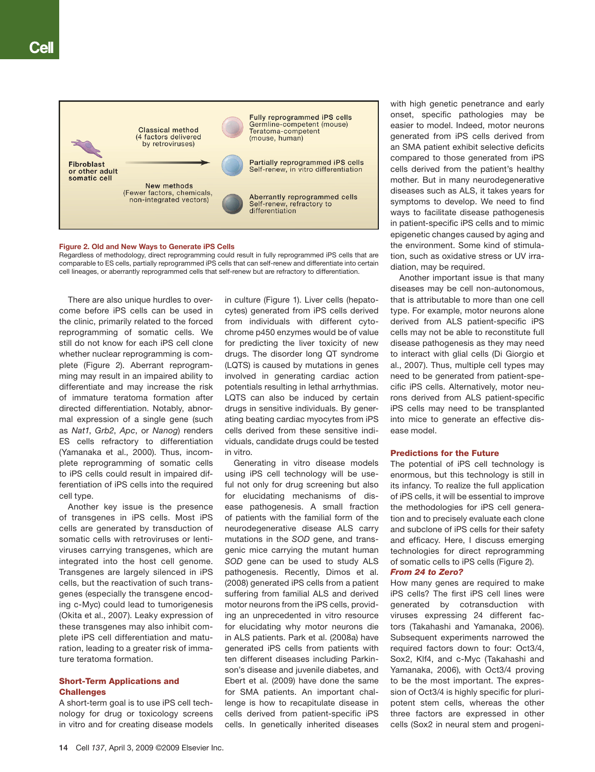

#### Figure 2. Old and New Ways to Generate iPS Cells

Regardless of methodology, direct reprogramming could result in fully reprogrammed iPS cells that are comparable to ES cells, partially reprogrammed iPS cells that can self-renew and differentiate into certain cell lineages, or aberrantly reprogrammed cells that self-renew but are refractory to differentiation.

There are also unique hurdles to overcome before iPS cells can be used in the clinic, primarily related to the forced reprogramming of somatic cells. We still do not know for each iPS cell clone whether nuclear reprogramming is complete (Figure 2). Aberrant reprogramming may result in an impaired ability to differentiate and may increase the risk of immature teratoma formation after directed differentiation. Notably, abnormal expression of a single gene (such as *Nat1*, *Grb2*, *Apc*, or *Nanog*) renders ES cells refractory to differentiation (Yamanaka et al., 2000). Thus, incomplete reprogramming of somatic cells to iPS cells could result in impaired differentiation of iPS cells into the required cell type.

Another key issue is the presence of transgenes in iPS cells. Most iPS cells are generated by transduction of somatic cells with retroviruses or lentiviruses carrying transgenes, which are integrated into the host cell genome. Transgenes are largely silenced in iPS cells, but the reactivation of such transgenes (especially the transgene encoding c-Myc) could lead to tumorigenesis (Okita et al., 2007). Leaky expression of these transgenes may also inhibit complete iPS cell differentiation and maturation, leading to a greater risk of immature teratoma formation.

# Short-Term Applications and **Challenges**

A short-term goal is to use iPS cell technology for drug or toxicology screens in vitro and for creating disease models in culture (Figure 1). Liver cells (hepatocytes) generated from iPS cells derived from individuals with different cytochrome p450 enzymes would be of value for predicting the liver toxicity of new drugs. The disorder long QT syndrome (LQTS) is caused by mutations in genes involved in generating cardiac action potentials resulting in lethal arrhythmias. LQTS can also be induced by certain drugs in sensitive individuals. By generating beating cardiac myocytes from iPS cells derived from these sensitive individuals, candidate drugs could be tested in vitro.

Generating in vitro disease models using iPS cell technology will be useful not only for drug screening but also for elucidating mechanisms of disease pathogenesis. A small fraction of patients with the familial form of the neurodegenerative disease ALS carry mutations in the *SOD* gene, and transgenic mice carrying the mutant human *SOD* gene can be used to study ALS pathogenesis. Recently, Dimos et al. (2008) generated iPS cells from a patient suffering from familial ALS and derived motor neurons from the iPS cells, providing an unprecedented in vitro resource for elucidating why motor neurons die in ALS patients. Park et al. (2008a) have generated iPS cells from patients with ten different diseases including Parkinson's disease and juvenile diabetes, and Ebert et al. (2009) have done the same for SMA patients. An important challenge is how to recapitulate disease in cells derived from patient-specific iPS cells. In genetically inherited diseases

with high genetic penetrance and early onset, specific pathologies may be easier to model. Indeed, motor neurons generated from iPS cells derived from an SMA patient exhibit selective deficits compared to those generated from iPS cells derived from the patient's healthy mother. But in many neurodegenerative diseases such as ALS, it takes years for symptoms to develop. We need to find ways to facilitate disease pathogenesis in patient-specific iPS cells and to mimic epigenetic changes caused by aging and the environment. Some kind of stimulation, such as oxidative stress or UV irradiation, may be required.

Another important issue is that many diseases may be cell non-autonomous, that is attributable to more than one cell type. For example, motor neurons alone derived from ALS patient-specific iPS cells may not be able to reconstitute full disease pathogenesis as they may need to interact with glial cells (Di Giorgio et al., 2007). Thus, multiple cell types may need to be generated from patient-specific iPS cells. Alternatively, motor neurons derived from ALS patient-specific iPS cells may need to be transplanted into mice to generate an effective disease model.

#### Predictions for the Future

The potential of iPS cell technology is enormous, but this technology is still in its infancy. To realize the full application of iPS cells, it will be essential to improve the methodologies for iPS cell generation and to precisely evaluate each clone and subclone of iPS cells for their safety and efficacy. Here, I discuss emerging technologies for direct reprogramming of somatic cells to iPS cells (Figure 2).

### *From 24 to Zero?*

How many genes are required to make iPS cells? The first iPS cell lines were generated by cotransduction with viruses expressing 24 different factors (Takahashi and Yamanaka, 2006). Subsequent experiments narrowed the required factors down to four: Oct3/4, Sox2, Klf4, and c-Myc (Takahashi and Yamanaka, 2006), with Oct3/4 proving to be the most important. The expression of Oct3/4 is highly specific for pluripotent stem cells, whereas the other three factors are expressed in other cells (Sox2 in neural stem and progeni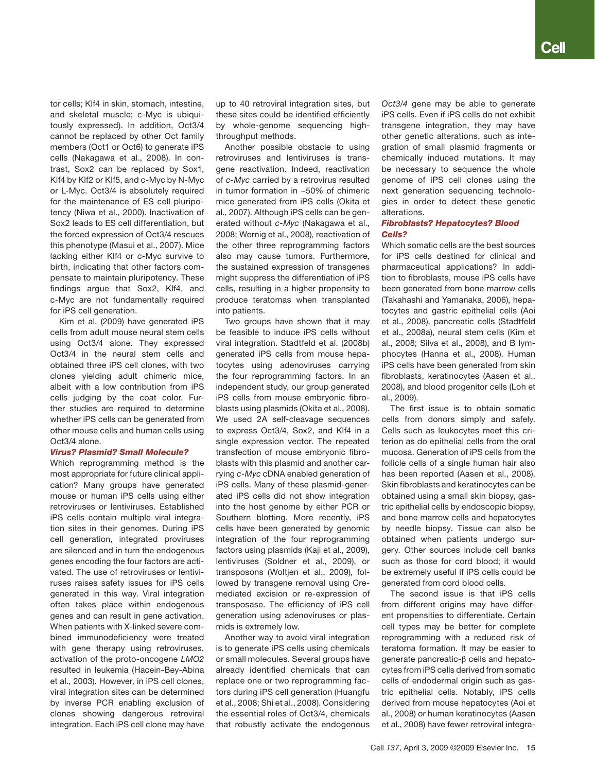tor cells; Klf4 in skin, stomach, intestine, and skeletal muscle; c-Myc is ubiquitously expressed). In addition, Oct3/4 cannot be replaced by other Oct family members (Oct1 or Oct6) to generate iPS cells (Nakagawa et al., 2008). In contrast, Sox2 can be replaced by Sox1, Klf4 by Klf2 or Klf5, and c-Myc by N-Myc or L-Myc. Oct3/4 is absolutely required for the maintenance of ES cell pluripotency (Niwa et al., 2000). Inactivation of Sox2 leads to ES cell differentiation, but the forced expression of Oct3/4 rescues this phenotype (Masui et al., 2007). Mice lacking either Klf4 or c-Myc survive to birth, indicating that other factors compensate to maintain pluripotency. These findings argue that Sox2, Klf4, and c-Myc are not fundamentally required for iPS cell generation.

Kim et al. (2009) have generated iPS cells from adult mouse neural stem cells using Oct3/4 alone. They expressed Oct3/4 in the neural stem cells and obtained three iPS cell clones, with two clones yielding adult chimeric mice, albeit with a low contribution from iPS cells judging by the coat color. Further studies are required to determine whether iPS cells can be generated from other mouse cells and human cells using Oct3/4 alone.

#### *Virus? Plasmid? Small Molecule?*

Which reprogramming method is the most appropriate for future clinical application? Many groups have generated mouse or human iPS cells using either retroviruses or lentiviruses. Established iPS cells contain multiple viral integration sites in their genomes. During iPS cell generation, integrated proviruses are silenced and in turn the endogenous genes encoding the four factors are activated. The use of retroviruses or lentiviruses raises safety issues for iPS cells generated in this way. Viral integration often takes place within endogenous genes and can result in gene activation. When patients with X-linked severe combined immunodeficiency were treated with gene therapy using retroviruses, activation of the proto-oncogene *LMO2* resulted in leukemia (Hacein-Bey-Abina et al., 2003). However, in iPS cell clones, viral integration sites can be determined by inverse PCR enabling exclusion of clones showing dangerous retroviral integration. Each iPS cell clone may have

up to 40 retroviral integration sites, but these sites could be identified efficiently by whole-genome sequencing highthroughput methods.

Another possible obstacle to using retroviruses and lentiviruses is transgene reactivation. Indeed, reactivation of *c-Myc* carried by a retrovirus resulted in tumor formation in ~50% of chimeric mice generated from iPS cells (Okita et al., 2007). Although iPS cells can be generated without *c-Myc* (Nakagawa et al., 2008; Wernig et al., 2008), reactivation of the other three reprogramming factors also may cause tumors. Furthermore, the sustained expression of transgenes might suppress the differentiation of iPS cells, resulting in a higher propensity to produce teratomas when transplanted into patients.

Two groups have shown that it may be feasible to induce iPS cells without viral integration. Stadtfeld et al. (2008b) generated iPS cells from mouse hepatocytes using adenoviruses carrying the four reprogramming factors. In an independent study, our group generated iPS cells from mouse embryonic fibroblasts using plasmids (Okita et al., 2008). We used 2A self-cleavage sequences to express Oct3/4, Sox2, and Klf4 in a single expression vector. The repeated transfection of mouse embryonic fibroblasts with this plasmid and another carrying *c-Myc* cDNA enabled generation of iPS cells. Many of these plasmid-generated iPS cells did not show integration into the host genome by either PCR or Southern blotting. More recently, iPS cells have been generated by genomic integration of the four reprogramming factors using plasmids (Kaji et al., 2009), lentiviruses (Soldner et al., 2009), or transposons (Woltjen et al., 2009), followed by transgene removal using Cremediated excision or re-expression of transposase. The efficiency of iPS cell generation using adenoviruses or plasmids is extremely low.

Another way to avoid viral integration is to generate iPS cells using chemicals or small molecules. Several groups have already identified chemicals that can replace one or two reprogramming factors during iPS cell generation (Huangfu et al., 2008; Shi et al., 2008). Considering the essential roles of Oct3/4, chemicals that robustly activate the endogenous

*Oct3*/*4* gene may be able to generate iPS cells. Even if iPS cells do not exhibit transgene integration, they may have other genetic alterations, such as integration of small plasmid fragments or chemically induced mutations. It may be necessary to sequence the whole genome of iPS cell clones using the next generation sequencing technologies in order to detect these genetic alterations.

# *Fibroblasts? Hepatocytes? Blood Cells?*

Which somatic cells are the best sources for iPS cells destined for clinical and pharmaceutical applications? In addition to fibroblasts, mouse iPS cells have been generated from bone marrow cells (Takahashi and Yamanaka, 2006), hepatocytes and gastric epithelial cells (Aoi et al., 2008), pancreatic cells (Stadtfeld et al., 2008a), neural stem cells (Kim et al., 2008; Silva et al., 2008), and B lymphocytes (Hanna et al., 2008). Human iPS cells have been generated from skin fibroblasts, keratinocytes (Aasen et al., 2008), and blood progenitor cells (Loh et al., 2009).

The first issue is to obtain somatic cells from donors simply and safely. Cells such as leukocytes meet this criterion as do epithelial cells from the oral mucosa. Generation of iPS cells from the follicle cells of a single human hair also has been reported (Aasen et al., 2008). Skin fibroblasts and keratinocytes can be obtained using a small skin biopsy, gastric epithelial cells by endoscopic biopsy, and bone marrow cells and hepatocytes by needle biopsy. Tissue can also be obtained when patients undergo surgery. Other sources include cell banks such as those for cord blood; it would be extremely useful if iPS cells could be generated from cord blood cells.

The second issue is that iPS cells from different origins may have different propensities to differentiate. Certain cell types may be better for complete reprogramming with a reduced risk of teratoma formation. It may be easier to generate pancreatic-β cells and hepatocytes from iPS cells derived from somatic cells of endodermal origin such as gastric epithelial cells. Notably, iPS cells derived from mouse hepatocytes (Aoi et al., 2008) or human keratinocytes (Aasen et al., 2008) have fewer retroviral integra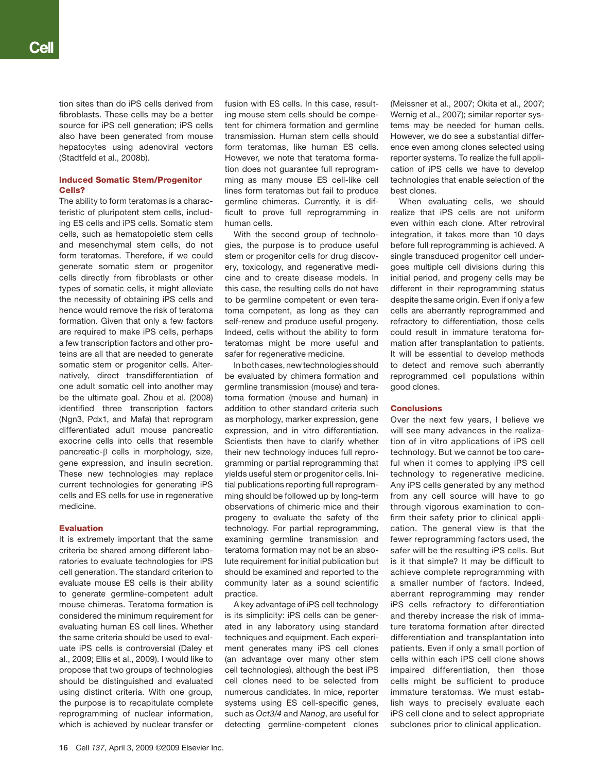tion sites than do iPS cells derived from fibroblasts. These cells may be a better source for iPS cell generation; iPS cells also have been generated from mouse hepatocytes using adenoviral vectors (Stadtfeld et al., 2008b).

# Induced Somatic Stem/Progenitor Cells?

The ability to form teratomas is a characteristic of pluripotent stem cells, including ES cells and iPS cells. Somatic stem cells, such as hematopoietic stem cells and mesenchymal stem cells, do not form teratomas. Therefore, if we could generate somatic stem or progenitor cells directly from fibroblasts or other types of somatic cells, it might alleviate the necessity of obtaining iPS cells and hence would remove the risk of teratoma formation. Given that only a few factors are required to make iPS cells, perhaps a few transcription factors and other proteins are all that are needed to generate somatic stem or progenitor cells. Alternatively, direct transdifferentiation of one adult somatic cell into another may be the ultimate goal. Zhou et al. (2008) identified three transcription factors (Ngn3, Pdx1, and Mafa) that reprogram differentiated adult mouse pancreatic exocrine cells into cells that resemble pancreatic-β cells in morphology, size, gene expression, and insulin secretion. These new technologies may replace current technologies for generating iPS cells and ES cells for use in regenerative medicine.

# Evaluation

It is extremely important that the same criteria be shared among different laboratories to evaluate technologies for iPS cell generation. The standard criterion to evaluate mouse ES cells is their ability to generate germline-competent adult mouse chimeras. Teratoma formation is considered the minimum requirement for evaluating human ES cell lines. Whether the same criteria should be used to evaluate iPS cells is controversial (Daley et al., 2009; Ellis et al., 2009). I would like to propose that two groups of technologies should be distinguished and evaluated using distinct criteria. With one group, the purpose is to recapitulate complete reprogramming of nuclear information, which is achieved by nuclear transfer or fusion with ES cells. In this case, resulting mouse stem cells should be competent for chimera formation and germline transmission. Human stem cells should form teratomas, like human ES cells. However, we note that teratoma formation does not guarantee full reprogramming as many mouse ES cell-like cell lines form teratomas but fail to produce germline chimeras. Currently, it is difficult to prove full reprogramming in human cells.

With the second group of technologies, the purpose is to produce useful stem or progenitor cells for drug discovery, toxicology, and regenerative medicine and to create disease models. In this case, the resulting cells do not have to be germline competent or even teratoma competent, as long as they can self-renew and produce useful progeny. Indeed, cells without the ability to form teratomas might be more useful and safer for regenerative medicine.

In both cases, new technologies should be evaluated by chimera formation and germline transmission (mouse) and teratoma formation (mouse and human) in addition to other standard criteria such as morphology, marker expression, gene expression, and in vitro differentiation. Scientists then have to clarify whether their new technology induces full reprogramming or partial reprogramming that yields useful stem or progenitor cells. Initial publications reporting full reprogramming should be followed up by long-term observations of chimeric mice and their progeny to evaluate the safety of the technology. For partial reprogramming, examining germline transmission and teratoma formation may not be an absolute requirement for initial publication but should be examined and reported to the community later as a sound scientific practice.

A key advantage of iPS cell technology is its simplicity: iPS cells can be generated in any laboratory using standard techniques and equipment. Each experiment generates many iPS cell clones (an advantage over many other stem cell technologies), although the best iPS cell clones need to be selected from numerous candidates. In mice, reporter systems using ES cell-specific genes, such as *Oct3*/*4* and *Nanog*, are useful for detecting germline-competent clones

(Meissner et al., 2007; Okita et al., 2007; Wernig et al., 2007); similar reporter systems may be needed for human cells. However, we do see a substantial difference even among clones selected using reporter systems. To realize the full application of iPS cells we have to develop technologies that enable selection of the best clones.

When evaluating cells, we should realize that iPS cells are not uniform even within each clone. After retroviral integration, it takes more than 10 days before full reprogramming is achieved. A single transduced progenitor cell undergoes multiple cell divisions during this initial period, and progeny cells may be different in their reprogramming status despite the same origin. Even if only a few cells are aberrantly reprogrammed and refractory to differentiation, those cells could result in immature teratoma formation after transplantation to patients. It will be essential to develop methods to detect and remove such aberrantly reprogrammed cell populations within good clones.

#### **Conclusions**

Over the next few years, I believe we will see many advances in the realization of in vitro applications of iPS cell technology. But we cannot be too careful when it comes to applying iPS cell technology to regenerative medicine. Any iPS cells generated by any method from any cell source will have to go through vigorous examination to confirm their safety prior to clinical application. The general view is that the fewer reprogramming factors used, the safer will be the resulting iPS cells. But is it that simple? It may be difficult to achieve complete reprogramming with a smaller number of factors. Indeed, aberrant reprogramming may render iPS cells refractory to differentiation and thereby increase the risk of immature teratoma formation after directed differentiation and transplantation into patients. Even if only a small portion of cells within each iPS cell clone shows impaired differentiation, then those cells might be sufficient to produce immature teratomas. We must establish ways to precisely evaluate each iPS cell clone and to select appropriate subclones prior to clinical application.